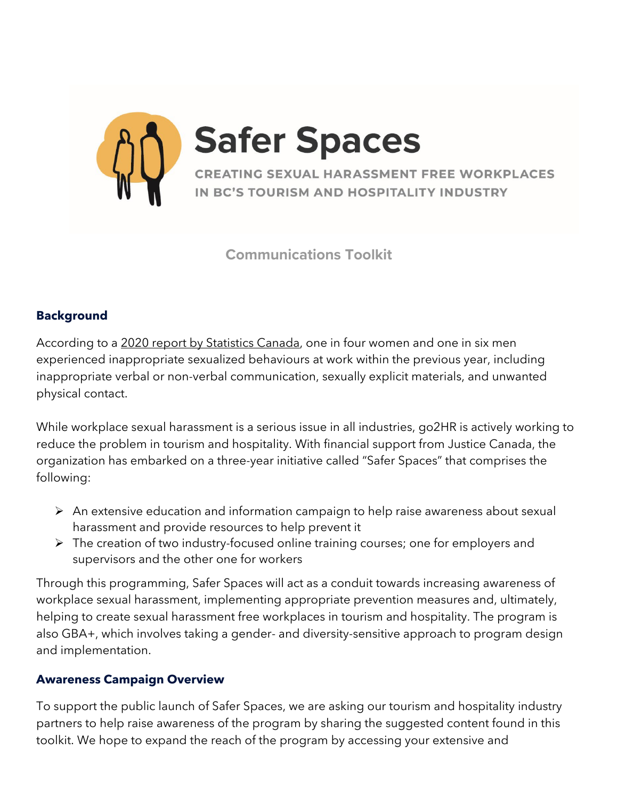

**Communications Toolkit**

# **Background**

According to a [2020 report by Statistics Canada,](https://www150.statcan.gc.ca/n1/daily-quotidien/210812/dq210812b-eng.htm) one in four women and one in six men experienced inappropriate sexualized behaviours at work within the previous year, including inappropriate verbal or non-verbal communication, sexually explicit materials, and unwanted physical contact.

While workplace sexual harassment is a serious issue in all industries, go2HR is actively working to reduce the problem in tourism and hospitality. With financial support from Justice Canada, the organization has embarked on a three-year initiative called "Safer Spaces" that comprises the following:

- $\triangleright$  An extensive education and information campaign to help raise awareness about sexual harassment and provide resources to help prevent it
- $\triangleright$  The creation of two industry-focused online training courses; one for employers and supervisors and the other one for workers

Through this programming, Safer Spaces will act as a conduit towards increasing awareness of workplace sexual harassment, implementing appropriate prevention measures and, ultimately, helping to create sexual harassment free workplaces in tourism and hospitality. The program is also GBA+, which involves taking a gender- and diversity-sensitive approach to program design and implementation.

# **Awareness Campaign Overview**

To support the public launch of Safer Spaces, we are asking our tourism and hospitality industry partners to help raise awareness of the program by sharing the suggested content found in this toolkit. We hope to expand the reach of the program by accessing your extensive and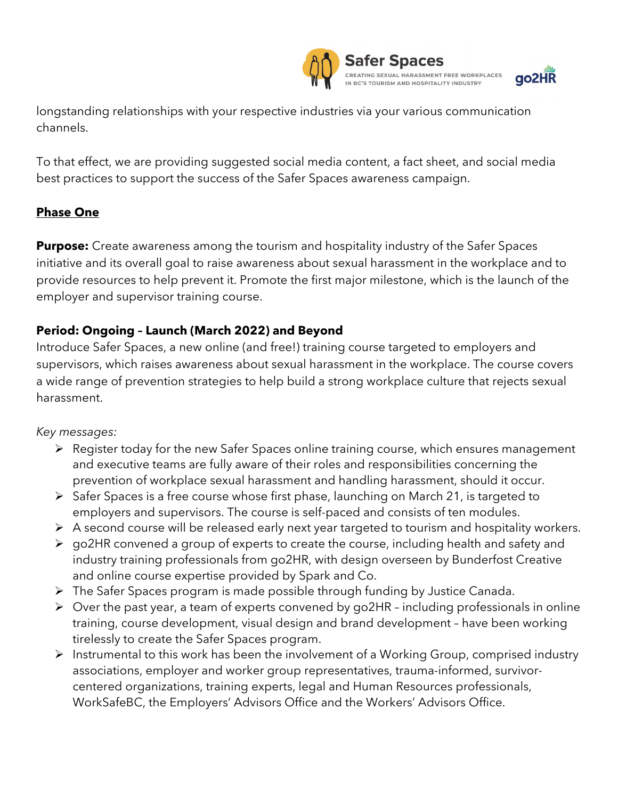

longstanding relationships with your respective industries via your various communication channels.

To that effect, we are providing suggested social media content, a fact sheet, and social media best practices to support the success of the Safer Spaces awareness campaign.

# **Phase One**

**Purpose:** Create awareness among the tourism and hospitality industry of the Safer Spaces initiative and its overall goal to raise awareness about sexual harassment in the workplace and to provide resources to help prevent it. Promote the first major milestone, which is the launch of the employer and supervisor training course.

# **Period: Ongoing – Launch (March 2022) and Beyond**

Introduce Safer Spaces, a new online (and free!) training course targeted to employers and supervisors, which raises awareness about sexual harassment in the workplace. The course covers a wide range of prevention strategies to help build a strong workplace culture that rejects sexual harassment.

### *Key messages:*

- Register today for the new Safer Spaces online training course, which ensures management and executive teams are fully aware of their roles and responsibilities concerning the prevention of workplace sexual harassment and handling harassment, should it occur.
- $\triangleright$  Safer Spaces is a free course whose first phase, launching on March 21, is targeted to employers and supervisors. The course is self-paced and consists of ten modules.
- $\triangleright$  A second course will be released early next year targeted to tourism and hospitality workers.
- go2HR convened a group of experts to create the course, including health and safety and industry training professionals from go2HR, with design overseen by Bunderfost Creative and online course expertise provided by Spark and Co.
- The Safer Spaces program is made possible through funding by Justice Canada.
- $\triangleright$  Over the past year, a team of experts convened by go2HR including professionals in online training, course development, visual design and brand development – have been working tirelessly to create the Safer Spaces program.
- $\triangleright$  Instrumental to this work has been the involvement of a Working Group, comprised industry associations, employer and worker group representatives, trauma-informed, survivorcentered organizations, training experts, legal and Human Resources professionals, WorkSafeBC, the Employers' Advisors Office and the Workers' Advisors Office.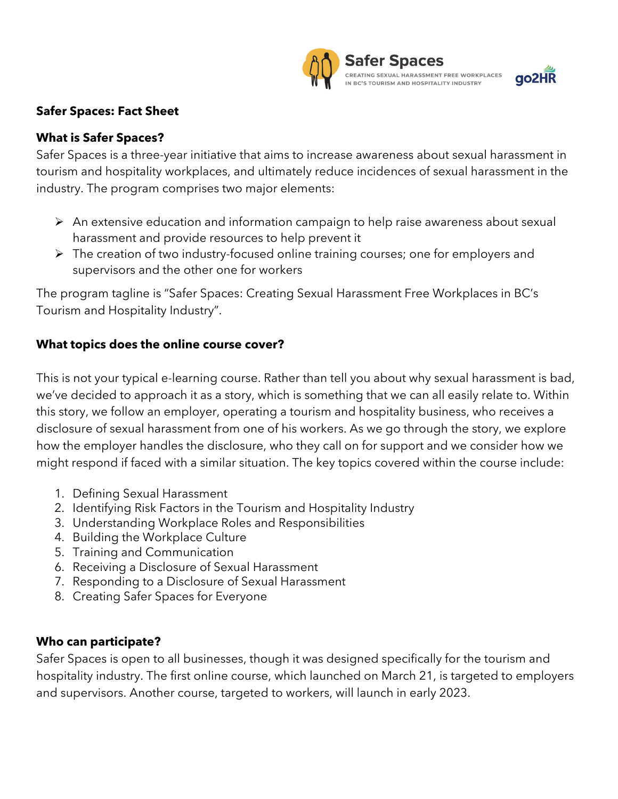



### **Safer Spaces: Fact Sheet**

### **What is Safer Spaces?**

Safer Spaces is a three-year initiative that aims to increase awareness about sexual harassment in tourism and hospitality workplaces, and ultimately reduce incidences of sexual harassment in the industry. The program comprises two major elements:

- $\triangleright$  An extensive education and information campaign to help raise awareness about sexual harassment and provide resources to help prevent it
- $\triangleright$  The creation of two industry-focused online training courses; one for employers and supervisors and the other one for workers

The program tagline is "Safer Spaces: Creating Sexual Harassment Free Workplaces in BC's Tourism and Hospitality Industry".

### **What topics does the online course cover?**

This is not your typical e-learning course. Rather than tell you about why sexual harassment is bad, we've decided to approach it as a story, which is something that we can all easily relate to. Within this story, we follow an employer, operating a tourism and hospitality business, who receives a disclosure of sexual harassment from one of his workers. As we go through the story, we explore how the employer handles the disclosure, who they call on for support and we consider how we might respond if faced with a similar situation. The key topics covered within the course include:

- 1. Defining Sexual Harassment
- 2. Identifying Risk Factors in the Tourism and Hospitality Industry
- 3. Understanding Workplace Roles and Responsibilities
- 4. Building the Workplace Culture
- 5. Training and Communication
- 6. Receiving a Disclosure of Sexual Harassment
- 7. Responding to a Disclosure of Sexual Harassment
- 8. Creating Safer Spaces for Everyone

### **Who can participate?**

Safer Spaces is open to all businesses, though it was designed specifically for the tourism and hospitality industry. The first online course, which launched on March 21, is targeted to employers and supervisors. Another course, targeted to workers, will launch in early 2023.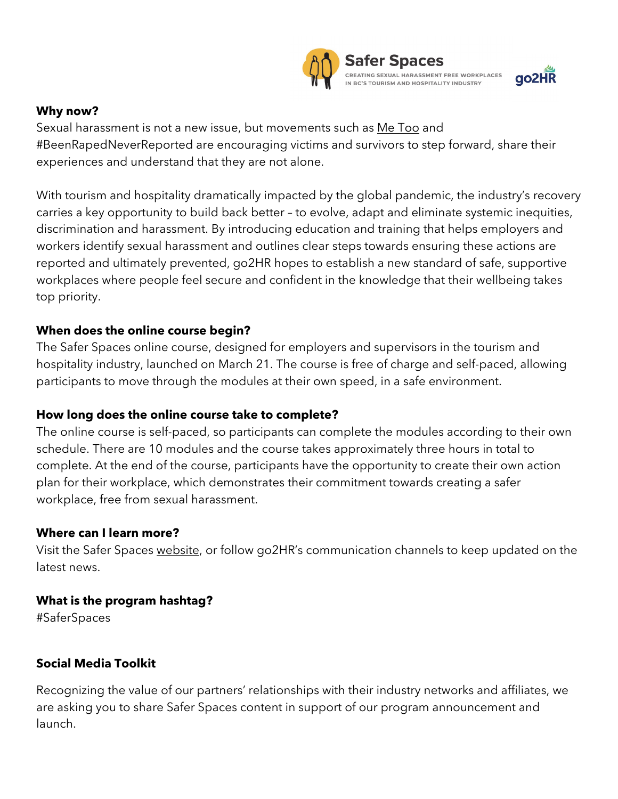



### **Why now?**

Sexual harassment is not a new issue, but movements such as [Me Too](https://metoomvmt.org/) and #BeenRapedNeverReported are encouraging victims and survivors to step forward, share their experiences and understand that they are not alone.

With tourism and hospitality dramatically impacted by the global pandemic, the industry's recovery carries a key opportunity to build back better – to evolve, adapt and eliminate systemic inequities, discrimination and harassment. By introducing education and training that helps employers and workers identify sexual harassment and outlines clear steps towards ensuring these actions are reported and ultimately prevented, go2HR hopes to establish a new standard of safe, supportive workplaces where people feel secure and confident in the knowledge that their wellbeing takes top priority.

### **When does the online course begin?**

The Safer Spaces online course, designed for employers and supervisors in the tourism and hospitality industry, launched on March 21. The course is free of charge and self-paced, allowing participants to move through the modules at their own speed, in a safe environment.

# **How long does the online course take to complete?**

The online course is self-paced, so participants can complete the modules according to their own schedule. There are 10 modules and the course takes approximately three hours in total to complete. At the end of the course, participants have the opportunity to create their own action plan for their workplace, which demonstrates their commitment towards creating a safer workplace, free from sexual harassment.

# **Where can I learn more?**

Visit the Safer Spaces [website,](https://www.go2hr.ca/saferspaces) or follow go2HR's communication channels to keep updated on the latest news.

# **What is the program hashtag?**

#SaferSpaces

# **Social Media Toolkit**

Recognizing the value of our partners' relationships with their industry networks and affiliates, we are asking you to share Safer Spaces content in support of our program announcement and launch.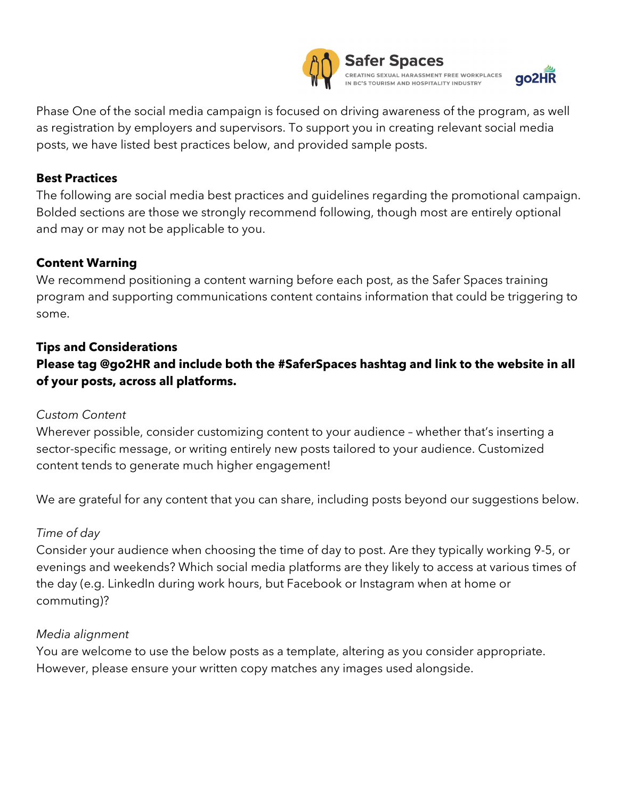



Phase One of the social media campaign is focused on driving awareness of the program, as well as registration by employers and supervisors. To support you in creating relevant social media posts, we have listed best practices below, and provided sample posts.

### **Best Practices**

The following are social media best practices and guidelines regarding the promotional campaign. Bolded sections are those we strongly recommend following, though most are entirely optional and may or may not be applicable to you.

#### **Content Warning**

We recommend positioning a content warning before each post, as the Safer Spaces training program and supporting communications content contains information that could be triggering to some.

# **Tips and Considerations Please tag @go2HR and include both the #SaferSpaces hashtag and link to the website in all of your posts, across all platforms.**

#### *Custom Content*

Wherever possible, consider customizing content to your audience – whether that's inserting a sector-specific message, or writing entirely new posts tailored to your audience. Customized content tends to generate much higher engagement!

We are grateful for any content that you can share, including posts beyond our suggestions below.

#### *Time of day*

Consider your audience when choosing the time of day to post. Are they typically working 9-5, or evenings and weekends? Which social media platforms are they likely to access at various times of the day (e.g. LinkedIn during work hours, but Facebook or Instagram when at home or commuting)?

#### *Media alignment*

You are welcome to use the below posts as a template, altering as you consider appropriate. However, please ensure your written copy matches any images used alongside.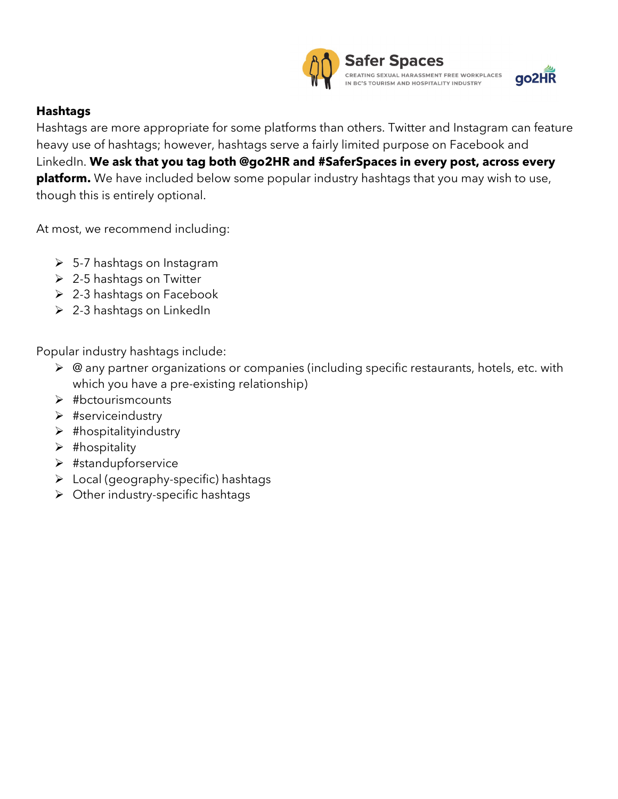

### **Hashtags**

Hashtags are more appropriate for some platforms than others. Twitter and Instagram can feature heavy use of hashtags; however, hashtags serve a fairly limited purpose on Facebook and LinkedIn. **We ask that you tag both @go2HR and #SaferSpaces in every post, across every platform.** We have included below some popular industry hashtags that you may wish to use, though this is entirely optional.

At most, we recommend including:

- $\geq$  5-7 hashtags on Instagram
- $\geq$  2-5 hashtags on Twitter
- $\geq$  2-3 hashtags on Facebook
- $\geq$  2-3 hashtags on LinkedIn

Popular industry hashtags include:

- ▶ @ any partner organizations or companies (including specific restaurants, hotels, etc. with which you have a pre-existing relationship)
- $\blacktriangleright$  #bctourismcounts
- $\triangleright$  #serviceindustry
- $\triangleright$  #hospitalityindustry
- $\blacktriangleright$  #hospitality
- #standupforservice
- $\triangleright$  Local (geography-specific) hashtags
- $\triangleright$  Other industry-specific hashtags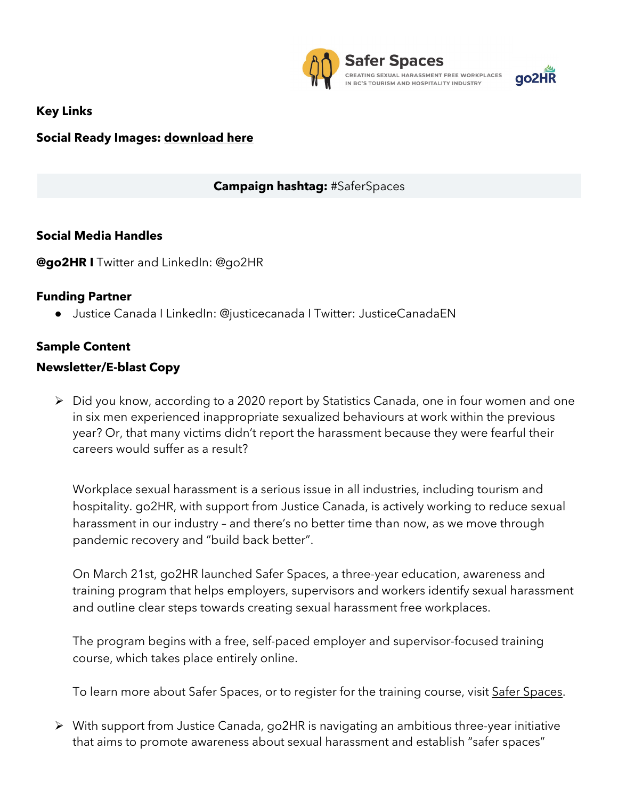

ao2HR

**Key Links**

# **Social Ready Images: [download here](https://drive.google.com/drive/folders/1kDhUkEEyYet2TMzw3JU7jbjd65pKUvTt?usp=sharing)**

# **Campaign hashtag:** #SaferSpaces

### **Social Media Handles**

**[@go2HR](https://twitter.com/vaneconomic) I** Twitter and LinkedIn: @go2HR

### **Funding Partner**

● Justice Canada I LinkedIn: @justicecanada I Twitter: JusticeCanadaEN

# **Sample Content**

### **Newsletter/E-blast Copy**

 Did you know, according to a 2020 report by Statistics Canada, one in four women and one in six men experienced inappropriate sexualized behaviours at work within the previous year? Or, that many victims didn't report the harassment because they were fearful their careers would suffer as a result?

Workplace sexual harassment is a serious issue in all industries, including tourism and hospitality. go2HR, with support from Justice Canada, is actively working to reduce sexual harassment in our industry – and there's no better time than now, as we move through pandemic recovery and "build back better".

On March 21st, go2HR launched Safer Spaces, a three-year education, awareness and training program that helps employers, supervisors and workers identify sexual harassment and outline clear steps towards creating sexual harassment free workplaces.

The program begins with a free, self-paced employer and supervisor-focused training course, which takes place entirely online.

To learn more about Safer Spaces, or to register for the training course, visit [Safer Spaces.](https://www.go2hr.ca/saferspaces)

 With support from Justice Canada, go2HR is navigating an ambitious three-year initiative that aims to promote awareness about sexual harassment and establish "safer spaces"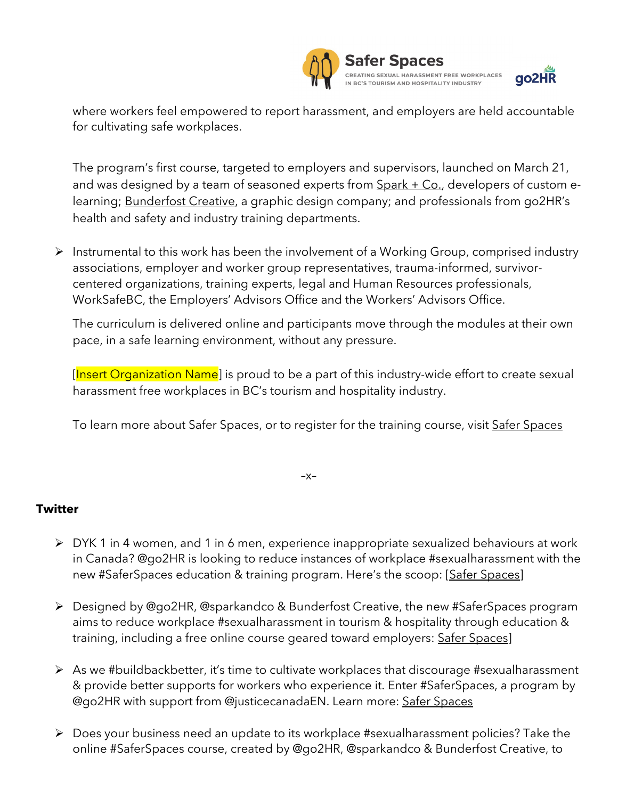



where workers feel empowered to report harassment, and employers are held accountable for cultivating safe workplaces.

The program's first course, targeted to employers and supervisors, launched on March 21, and was designed by a team of seasoned experts from  $Spark + Co.,$  developers of custom elearning; **Bunderfost Creative**, a graphic design company; and professionals from go2HR's health and safety and industry training departments.

 $\triangleright$  Instrumental to this work has been the involvement of a Working Group, comprised industry associations, employer and worker group representatives, trauma-informed, survivorcentered organizations, training experts, legal and Human Resources professionals, WorkSafeBC, the Employers' Advisors Office and the Workers' Advisors Office.

The curriculum is delivered online and participants move through the modules at their own pace, in a safe learning environment, without any pressure.

[Insert Organization Name] is proud to be a part of this industry-wide effort to create sexual harassment free workplaces in BC's tourism and hospitality industry.

To learn more about [Safer Spaces](https://www.go2hr.ca/saferspaces), or to register for the training course, visit Safer Spaces

 $-X-$ 

### **Twitter**

- DYK 1 in 4 women, and 1 in 6 men, experience inappropriate sexualized behaviours at work in Canada? @go2HR is looking to reduce instances of workplace #sexualharassment with the new #SaferSpaces education & training program. Here's the scoop: [\[Safer Spaces\]](https://www.go2hr.ca/saferspaces)
- Designed by @go2HR, @sparkandco & Bunderfost Creative, the new #SaferSpaces program aims to reduce workplace #sexualharassment in tourism & hospitality through education & training, including a free online course geared toward employers: [Safer Spaces\]](https://www.go2hr.ca/saferspaces)
- $\triangleright$  As we #buildbackbetter, it's time to cultivate workplaces that discourage #sexualharassment & provide better supports for workers who experience it. Enter #SaferSpaces, a program by @go2HR with support from @justicecanadaEN. Learn more: [Safer Spaces](https://www.go2hr.ca/saferspaces)
- Does your business need an update to its workplace #sexualharassment policies? Take the online #SaferSpaces course, created by @go2HR, @sparkandco & Bunderfost Creative, to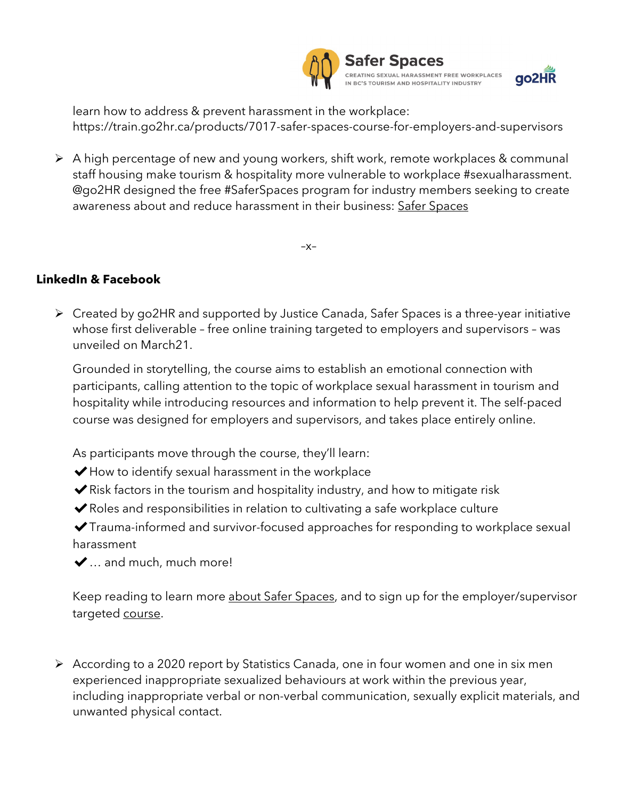



learn how to address & prevent harassment in the workplace: https://train.go2hr.ca/products/7017-safer-spaces-course-for-employers-and-supervisors

 A high percentage of new and young workers, shift work, remote workplaces & communal staff housing make tourism & hospitality more vulnerable to workplace #sexualharassment. @go2HR designed the free #SaferSpaces program for industry members seeking to create awareness about and reduce harassment in their business: [Safer Spaces](https://www.go2hr.ca/saferspaces)

–x–

# **LinkedIn & Facebook**

 Created by go2HR and supported by Justice Canada, Safer Spaces is a three-year initiative whose first deliverable – free online training targeted to employers and supervisors – was unveiled on March21.

Grounded in storytelling, the course aims to establish an emotional connection with participants, calling attention to the topic of workplace sexual harassment in tourism and hospitality while introducing resources and information to help prevent it. The self-paced course was designed for employers and supervisors, and takes place entirely online.

As participants move through the course, they'll learn:

- ◆ How to identify sexual harassment in the workplace
- $\blacktriangleright$  Risk factors in the tourism and hospitality industry, and how to mitigate risk
- $\blacktriangleright$  Roles and responsibilities in relation to cultivating a safe workplace culture

✔Trauma-informed and survivor-focused approaches for responding to workplace sexual harassment

 $\blacktriangleright$  ... and much, much more!

Keep reading to learn more [about Safer Spaces,](https://www.go2hr.ca/saferspaces) and to sign up for the employer/supervisor targeted [course.](https://train.go2hr.ca/products/7017-safer-spaces-course-for-employers-and-supervisors)

 According to a 2020 report by Statistics Canada, one in four women and one in six men experienced inappropriate sexualized behaviours at work within the previous year, including inappropriate verbal or non-verbal communication, sexually explicit materials, and unwanted physical contact.